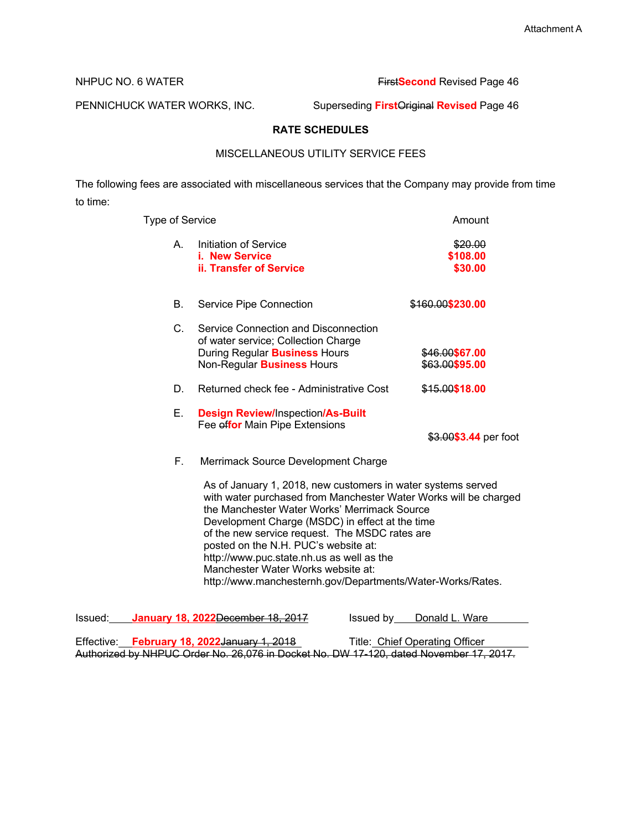## NHPUC NO. 6 WATER **First Second** Revised Page 46

PENNICHUCK WATER WORKS, INC. Superseding **First**Original **Revised** Page 46

# **RATE SCHEDULES**

# MISCELLANEOUS UTILITY SERVICE FEES

The following fees are associated with miscellaneous services that the Company may provide from time to time:

| Type of Service |                                                                                                                                                                                                                                                                                                                                                                                                                                                                                | Amount                           |
|-----------------|--------------------------------------------------------------------------------------------------------------------------------------------------------------------------------------------------------------------------------------------------------------------------------------------------------------------------------------------------------------------------------------------------------------------------------------------------------------------------------|----------------------------------|
| А.              | Initiation of Service<br>i. New Service<br><b>ii. Transfer of Service</b>                                                                                                                                                                                                                                                                                                                                                                                                      | \$20.00<br>\$108.00<br>\$30.00   |
| В.              | Service Pipe Connection                                                                                                                                                                                                                                                                                                                                                                                                                                                        | \$160.00\$230.00                 |
| $C_{-}$         | Service Connection and Disconnection<br>of water service; Collection Charge<br>During Regular <b>Business</b> Hours<br>Non-Regular <b>Business</b> Hours                                                                                                                                                                                                                                                                                                                       | \$46.00\$67.00<br>\$63.00\$95.00 |
| D.              | Returned check fee - Administrative Cost                                                                                                                                                                                                                                                                                                                                                                                                                                       | \$15.00\$18.00                   |
| E.              | <b>Design Review/Inspection/As-Built</b><br>Fee effor Main Pipe Extensions                                                                                                                                                                                                                                                                                                                                                                                                     | \$3.00\$3.44 per foot            |
| F.              | Merrimack Source Development Charge                                                                                                                                                                                                                                                                                                                                                                                                                                            |                                  |
|                 | As of January 1, 2018, new customers in water systems served<br>with water purchased from Manchester Water Works will be charged<br>the Manchester Water Works' Merrimack Source<br>Development Charge (MSDC) in effect at the time<br>of the new service request. The MSDC rates are<br>posted on the N.H. PUC's website at:<br>http://www.puc.state.nh.us as well as the<br>Manchester Water Works website at:<br>http://www.manchesternh.gov/Departments/Water-Works/Rates. |                                  |

| Issued: | January 18, 2022 December 18, 2017                                                     | Donald L. Ware<br>Issued by    |
|---------|----------------------------------------------------------------------------------------|--------------------------------|
|         |                                                                                        |                                |
|         | Effective: February 18, 2022 January 1, 2018                                           | Title: Chief Operating Officer |
|         | Authorized by NHPUC Order No. 26,076 in Docket No. DW 17-120, dated November 17, 2017. |                                |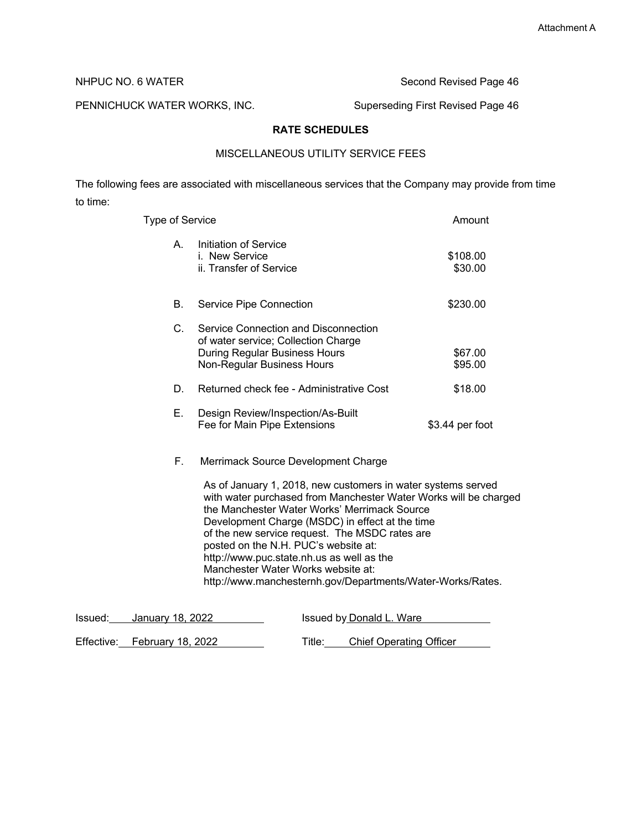NHPUC NO. 6 WATER Second Revised Page 46

PENNICHUCK WATER WORKS, INC. Superseding First Revised Page 46

# **RATE SCHEDULES**

# MISCELLANEOUS UTILITY SERVICE FEES

The following fees are associated with miscellaneous services that the Company may provide from time to time:

| <b>Type of Service</b> |                                                                                                                                                                                                                                                                                                                              | Amount              |
|------------------------|------------------------------------------------------------------------------------------------------------------------------------------------------------------------------------------------------------------------------------------------------------------------------------------------------------------------------|---------------------|
| А.                     | Initiation of Service<br>i. New Service<br>ii. Transfer of Service                                                                                                                                                                                                                                                           | \$108.00<br>\$30.00 |
| В.                     | Service Pipe Connection                                                                                                                                                                                                                                                                                                      | \$230.00            |
| $C_{-}$                | Service Connection and Disconnection<br>of water service; Collection Charge<br>During Regular Business Hours<br>Non-Regular Business Hours                                                                                                                                                                                   | \$67.00<br>\$95.00  |
| D.                     | Returned check fee - Administrative Cost                                                                                                                                                                                                                                                                                     | \$18.00             |
| Е.                     | Design Review/Inspection/As-Built<br>Fee for Main Pipe Extensions                                                                                                                                                                                                                                                            | \$3.44 per foot     |
| F.                     | Merrimack Source Development Charge<br>As of January 1, 2018, new customers in water systems served<br>with water purchased from Manchester Water Works will be charged<br>the Manchester Water Works' Merrimack Source<br>Development Charge (MSDC) in effect at the time<br>of the new service request. The MSDC rates are |                     |

posted on the N.H. PUC's website at: http://www.puc.state.nh.us as well as the

Manchester Water Works website at: http://www.manchesternh.gov/Departments/Water-Works/Rates.

| Issued: January 18, 2022 | Issued by Donald L. Ware |  |
|--------------------------|--------------------------|--|

| Effective: February 18, 2022 | Title: T | Chief Operating Officer |  |
|------------------------------|----------|-------------------------|--|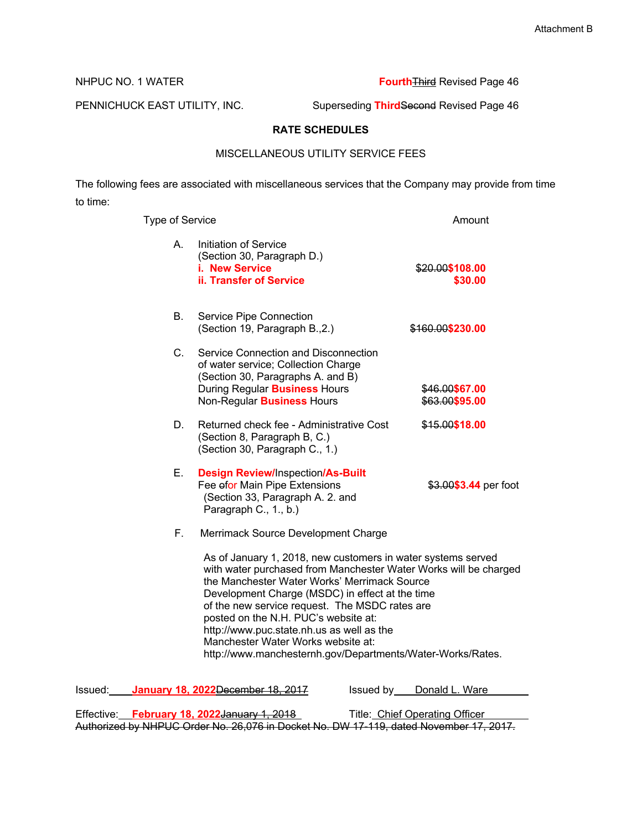NHPUC NO. 1 WATER **Fourth** Third Revised Page 46

PENNICHUCK EAST UTILITY, INC. Superseding ThirdSecond Revised Page 46

# **RATE SCHEDULES**

# MISCELLANEOUS UTILITY SERVICE FEES

The following fees are associated with miscellaneous services that the Company may provide from time to time:

| <b>Type of Service</b> |                                                                                                                                                                                                                                                                                                                                                                                                                                                                                | Amount                           |
|------------------------|--------------------------------------------------------------------------------------------------------------------------------------------------------------------------------------------------------------------------------------------------------------------------------------------------------------------------------------------------------------------------------------------------------------------------------------------------------------------------------|----------------------------------|
| А.                     | Initiation of Service<br>(Section 30, Paragraph D.)<br>i. New Service<br>ii. Transfer of Service                                                                                                                                                                                                                                                                                                                                                                               | \$20.00\$108.00<br>\$30.00       |
| В.                     | Service Pipe Connection<br>(Section 19, Paragraph B., 2.)                                                                                                                                                                                                                                                                                                                                                                                                                      | \$160.00\$230.00                 |
| C.                     | Service Connection and Disconnection<br>of water service; Collection Charge<br>(Section 30, Paragraphs A. and B)<br>During Regular <b>Business</b> Hours<br>Non-Regular <b>Business</b> Hours                                                                                                                                                                                                                                                                                  | \$46.00\$67.00<br>\$63.00\$95.00 |
| D.                     | Returned check fee - Administrative Cost<br>(Section 8, Paragraph B, C.)<br>(Section 30, Paragraph C., 1.)                                                                                                                                                                                                                                                                                                                                                                     | \$15.00\$18.00                   |
| Е.                     | <b>Design Review/Inspection/As-Built</b><br>Fee efor Main Pipe Extensions<br>(Section 33, Paragraph A. 2. and<br>Paragraph C., 1., b.)                                                                                                                                                                                                                                                                                                                                         | \$3.00\$3.44 per foot            |
| F.,                    | Merrimack Source Development Charge                                                                                                                                                                                                                                                                                                                                                                                                                                            |                                  |
|                        | As of January 1, 2018, new customers in water systems served<br>with water purchased from Manchester Water Works will be charged<br>the Manchester Water Works' Merrimack Source<br>Development Charge (MSDC) in effect at the time<br>of the new service request. The MSDC rates are<br>posted on the N.H. PUC's website at:<br>http://www.puc.state.nh.us as well as the<br>Manchester Water Works website at:<br>http://www.manchesternh.gov/Departments/Water-Works/Rates. |                                  |
| Issued:                | January 18, 2022 December 18, 2017<br>Issued by                                                                                                                                                                                                                                                                                                                                                                                                                                | Donald L. Ware                   |

|  | Effective: February 18, 2022 January 1, 2018 | Title: Chief Operating Officer                                                         |  |
|--|----------------------------------------------|----------------------------------------------------------------------------------------|--|
|  |                                              | Authorized by NHPUC Order No. 26,076 in Docket No. DW 17-119, dated November 17, 2017. |  |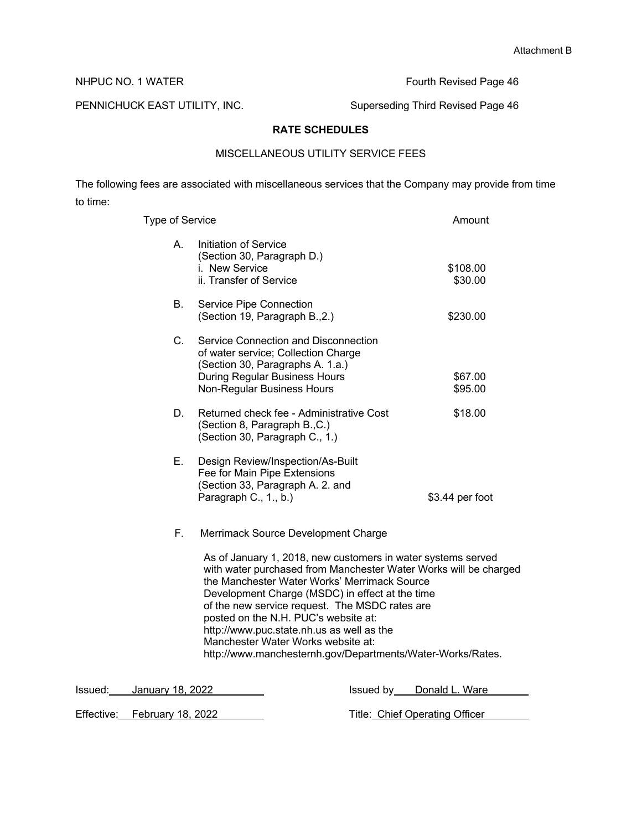NHPUC NO. 1 WATER **Fourth Revised Page 46** 

PENNICHUCK EAST UTILITY, INC. Superseding Third Revised Page 46

# **RATE SCHEDULES**

# MISCELLANEOUS UTILITY SERVICE FEES

The following fees are associated with miscellaneous services that the Company may provide from time to time:

| <b>Type of Service</b> |                                                                                                                                                                                                                                                                                                                                                                                                                                                                                                                       |           | Amount              |
|------------------------|-----------------------------------------------------------------------------------------------------------------------------------------------------------------------------------------------------------------------------------------------------------------------------------------------------------------------------------------------------------------------------------------------------------------------------------------------------------------------------------------------------------------------|-----------|---------------------|
| Α.                     | Initiation of Service<br>(Section 30, Paragraph D.)<br>i. New Service<br>ii. Transfer of Service                                                                                                                                                                                                                                                                                                                                                                                                                      |           | \$108.00<br>\$30.00 |
| В.                     | Service Pipe Connection<br>(Section 19, Paragraph B., 2.)                                                                                                                                                                                                                                                                                                                                                                                                                                                             |           | \$230.00            |
| $C_{1}$                | Service Connection and Disconnection<br>of water service; Collection Charge<br>(Section 30, Paragraphs A. 1.a.)<br>During Regular Business Hours<br>Non-Regular Business Hours                                                                                                                                                                                                                                                                                                                                        |           | \$67.00<br>\$95.00  |
| D.                     | Returned check fee - Administrative Cost<br>(Section 8, Paragraph B., C.)<br>(Section 30, Paragraph C., 1.)                                                                                                                                                                                                                                                                                                                                                                                                           |           | \$18.00             |
| Е.                     | Design Review/Inspection/As-Built<br>Fee for Main Pipe Extensions<br>(Section 33, Paragraph A. 2. and<br>Paragraph C., 1., b.)                                                                                                                                                                                                                                                                                                                                                                                        |           | \$3.44 per foot     |
| F.                     | Merrimack Source Development Charge<br>As of January 1, 2018, new customers in water systems served<br>with water purchased from Manchester Water Works will be charged<br>the Manchester Water Works' Merrimack Source<br>Development Charge (MSDC) in effect at the time<br>of the new service request. The MSDC rates are<br>posted on the N.H. PUC's website at:<br>http://www.puc.state.nh.us as well as the<br>Manchester Water Works website at:<br>http://www.manchesternh.gov/Departments/Water-Works/Rates. |           |                     |
| January 18–2022.       |                                                                                                                                                                                                                                                                                                                                                                                                                                                                                                                       | lssued hv | Donald I Ware       |

Issued: January 18, 2022 **ISSUED 18** Issued by Donald L. Ware Effective: February 18, 2022 Title: Chief Operating Officer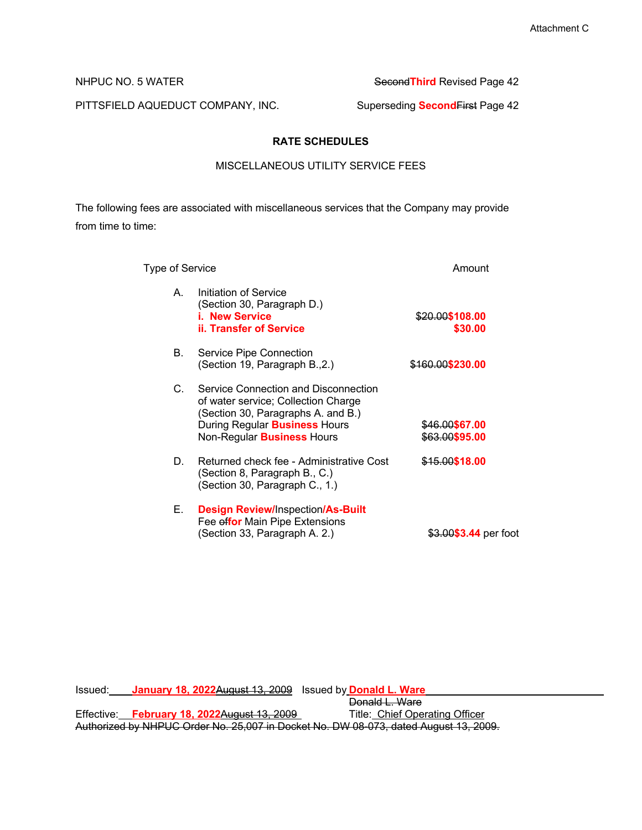PITTSFIELD AQUEDUCT COMPANY, INC. Superseding **SecondFirst Page 42** 

NHPUC NO. 5 WATER **Second Third** Revised Page 42

# **RATE SCHEDULES**

### MISCELLANEOUS UTILITY SERVICE FEES

The following fees are associated with miscellaneous services that the Company may provide from time to time:

| Type of Service |                                                                                                                                                                                                | Amount                                                   |
|-----------------|------------------------------------------------------------------------------------------------------------------------------------------------------------------------------------------------|----------------------------------------------------------|
| A               | Initiation of Service<br>(Section 30, Paragraph D.)<br><b>i. New Service</b><br>ii. Transfer of Service                                                                                        | \$20.00\$108.00<br>\$30.00                               |
| В.              | Service Pipe Connection<br>(Section 19, Paragraph B., 2.)                                                                                                                                      | <del>\$160.00</del> \$230.00                             |
| C.              | Service Connection and Disconnection<br>of water service; Collection Charge<br>(Section 30, Paragraphs A. and B.)<br>During Regular <b>Business</b> Hours<br>Non-Regular <b>Business</b> Hours | <del>\$46.00</del> \$67.00<br><del>\$63.00\$95</del> .00 |
| D.              | Returned check fee - Administrative Cost<br>(Section 8, Paragraph B., C.)<br>(Section 30, Paragraph C., 1.)                                                                                    | <del>\$15.00</del> \$18.00                               |
| Е.              | <b>Design Review/Inspection/As-Built</b><br>Fee effor Main Pipe Extensions<br>(Section 33, Paragraph A. 2.)                                                                                    | <del>\$3.00<b>\$3.44</b> per foot</del>                  |

Issued: **January 18, 2022**August 13, 2009 Issued by **Donald L. Ware** Donald L. Ware<br>Title: Chief Operating Officer Effective: **February 18, 2022**August 13, 2009

Authorized by NHPUC Order No. 25,007 in Docket No. DW 08-073, dated August 13, 2009.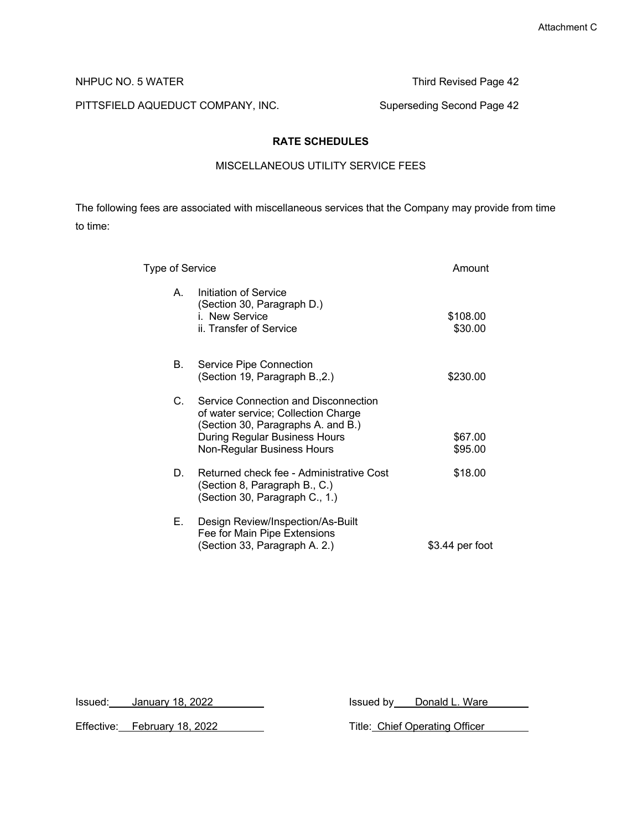PITTSFIELD AQUEDUCT COMPANY, INC. Superseding Second Page 42

NHPUC NO. 5 WATER Third Revised Page 42

# **RATE SCHEDULES**

### MISCELLANEOUS UTILITY SERVICE FEES

The following fees are associated with miscellaneous services that the Company may provide from time to time:

| Type of Service |                                                                                                                                                                                  | Amount              |
|-----------------|----------------------------------------------------------------------------------------------------------------------------------------------------------------------------------|---------------------|
| A.              | Initiation of Service<br>(Section 30, Paragraph D.)<br>i. New Service<br>ii. Transfer of Service                                                                                 | \$108.00<br>\$30.00 |
| В.              | Service Pipe Connection<br>(Section 19, Paragraph B., 2.)                                                                                                                        | \$230.00            |
| C.              | Service Connection and Disconnection<br>of water service; Collection Charge<br>(Section 30, Paragraphs A. and B.)<br>During Regular Business Hours<br>Non-Regular Business Hours | \$67.00<br>\$95.00  |
| D.              | Returned check fee - Administrative Cost<br>(Section 8, Paragraph B., C.)<br>(Section 30, Paragraph C., 1.)                                                                      | \$18.00             |
| Е.              | Design Review/Inspection/As-Built<br>Fee for Main Pipe Extensions<br>(Section 33, Paragraph A. 2.)                                                                               | \$3.44 per foot     |

Effective: February 18, 2022 Title: Chief Operating Officer

Issued: January 18, 2022 Martin Lawrence and Sussued by Donald L. Ware